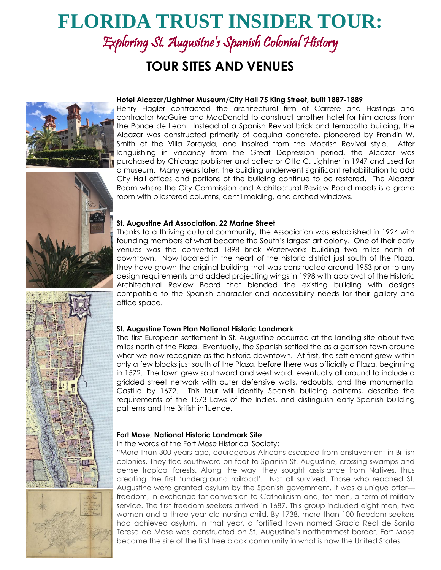# **FLORIDA TRUST INSIDER TOUR:**

Exploring St. Augusitne's Spanish Colonial History

# **TOUR SITES AND VENUES**





Henry Flagler contracted the architectural firm of Carrere and Hastings and contractor McGuire and MacDonald to construct another hotel for him across from the Ponce de Leon. Instead of a Spanish Revival brick and terracotta building, the Alcazar was constructed primarily of coquina concrete, pioneered by Franklin W. Smith of the Villa Zorayda, and inspired from the Moorish Revival style. After languishing in vacancy from the Great Depression period, the Alcazar was purchased by Chicago publisher and collector Otto C. Lightner in 1947 and used for a museum. Many years later, the building underwent significant rehabilitation to add City Hall offices and portions of the building continue to be restored. The Alcazar Room where the City Commission and Architectural Review Board meets is a grand room with pilastered columns, dentil molding, and arched windows.



Thanks to a thriving cultural community, the Association was established in 1924 with founding members of what became the South's largest art colony. One of their early venues was the converted 1898 brick Waterworks building two miles north of downtown. Now located in the heart of the historic district just south of the Plaza, they have grown the original building that was constructed around 1953 prior to any design requirements and added projecting wings in 1998 with approval of the Historic Architectural Review Board that blended the existing building with designs compatible to the Spanish character and accessibility needs for their gallery and office space.

# **St. Augustine Town Plan National Historic Landmark**

The first European settlement in St. Augustine occurred at the landing site about two miles north of the Plaza. Eventually, the Spanish settled the as a garrison town around what we now recognize as the historic downtown. At first, the settlement grew within only a few blocks just south of the Plaza, before there was officially a Plaza, beginning in 1572. The town grew southward and west ward, eventually all around to include a gridded street network with outer defensive walls, redoubts, and the monumental Castillo by 1672. This tour will identify Spanish building patterns, describe the requirements of the 1573 Laws of the Indies, and distinguish early Spanish building patterns and the British influence.

#### **Fort Mose, National Historic Landmark Site**

# In the words of the Fort Mose Historical Society:

"More than 300 years ago, courageous Africans escaped from enslavement in British colonies. They fled southward on foot to Spanish St. Augustine, crossing swamps and dense tropical forests. Along the way, they sought assistance from Natives, thus creating the first 'underground railroad'. Not all survived. Those who reached St. Augustine were granted asylum by the Spanish government. It was a unique offer freedom, in exchange for conversion to Catholicism and, for men, a term of military service. The first freedom seekers arrived in 1687. This group included eight men, two women and a three-year-old nursing child. By 1738, more than 100 freedom seekers had achieved asylum. In that year, a fortified town named Gracia Real de Santa Teresa de Mose was constructed on St. Augustine's northernmost border. Fort Mose became the site of the first free black community in what is now the United States.





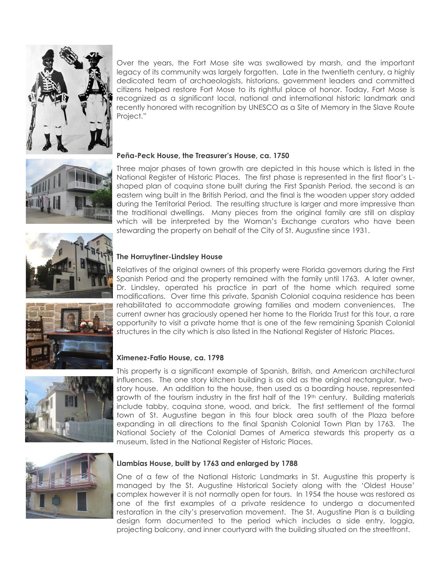

Over the years, the Fort Mose site was swallowed by marsh, and the important legacy of its community was largely forgotten. Late in the twentieth century, a highly dedicated team of archaeologists, historians, government leaders and committed citizens helped restore Fort Mose to its rightful place of honor. Today, Fort Mose is recognized as a significant local, national and international historic landmark and recently honored with recognition by UNESCO as a Site of Memory in the Slave Route Project."



# **Peña-Peck House, the Treasurer's House, ca. 1750**

Three major phases of town growth are depicted in this house which is listed in the National Register of Historic Places. The first phase is represented in the first floor's Lshaped plan of coquina stone built during the First Spanish Period, the second is an eastern wing built in the British Period, and the final is the wooden upper story added during the Territorial Period. The resulting structure is larger and more impressive than the traditional dwellings. Many pieces from the original family are still on display which will be interpreted by the Woman's Exchange curators who have been stewarding the property on behalf of the City of St. Augustine since 1931.



# **The Horruytiner-Lindsley House**

Relatives of the original owners of this property were Florida governors during the First Spanish Period and the property remained with the family until 1763. A later owner, Dr. Lindsley, operated his practice in part of the home which required some modifications. Over time this private, Spanish Colonial coquina residence has been rehabilitated to accommodate growing families and modern conveniences. The current owner has graciously opened her home to the Florida Trust for this tour, a rare opportunity to visit a private home that is one of the few remaining Spanish Colonial structures in the city which is also listed in the National Register of Historic Places.

# **Ximenez-Fatio House, ca. 1798**

This property is a significant example of Spanish, British, and American architectural influences. The one story kitchen building is as old as the original rectangular, twostory house. An addition to the house, then used as a boarding house, represented growth of the tourism industry in the first half of the 19<sup>th</sup> century. Building materials include tabby, coquina stone, wood, and brick. The first settlement of the formal town of St. Augustine began in this four block area south of the Plaza before expanding in all directions to the final Spanish Colonial Town Plan by 1763. The National Society of the Colonial Dames of America stewards this property as a museum, listed in the National Register of Historic Places.



#### **Llambias House, built by 1763 and enlarged by 1788**

One of a few of the National Historic Landmarks in St. Augustine this property is managed by the St. Augustine Historical Society along with the 'Oldest House' complex however it is not normally open for tours. In 1954 the house was restored as one of the first examples of a private residence to undergo a documented restoration in the city's preservation movement. The St. Augustine Plan is a building design form documented to the period which includes a side entry, loggia, projecting balcony, and inner courtyard with the building situated on the streetfront.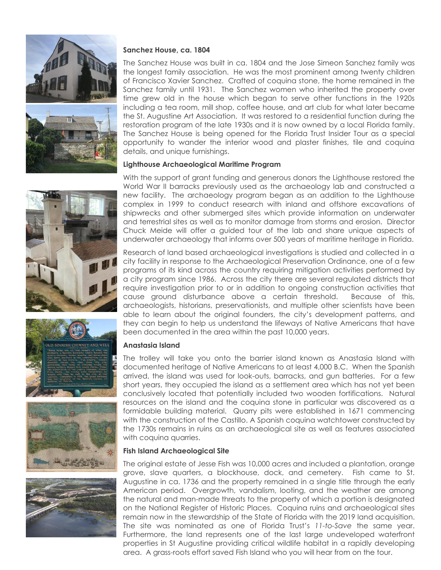

# **Sanchez House, ca. 1804**

The Sanchez House was built in ca. 1804 and the Jose Simeon Sanchez family was the longest family association. He was the most prominent among twenty children of Francisco Xavier Sanchez. Crafted of coquina stone, the home remained in the Sanchez family until 1931. The Sanchez women who inherited the property over time grew old in the house which began to serve other functions in the 1920s including a tea room, mill shop, coffee house, and art club for what later became the St. Augustine Art Association. It was restored to a residential function during the restoration program of the late 1930s and it is now owned by a local Florida family. The Sanchez House is being opened for the Florida Trust Insider Tour as a special opportunity to wander the interior wood and plaster finishes, tile and coquina details, and unique furnishings.

# **Lighthouse Archaeological Maritime Program**

With the support of grant funding and generous donors the Lighthouse restored the World War II barracks previously used as the archaeology lab and constructed a new facility. The archaeology program began as an addition to the Lighthouse complex in 1999 to conduct research with inland and offshore excavations of shipwrecks and other submerged sites which provide information on underwater and terrestrial sites as well as to monitor damage from storms and erosion. Director Chuck Meide will offer a guided tour of the lab and share unique aspects of underwater archaeology that informs over 500 years of maritime heritage in Florida.

Research of land based archaeological investigations is studied and collected in a city facility in response to the Archaeological Preservation Ordinance, one of a few programs of its kind across the country requiring mitigation activities performed by a city program since 1986. Across the city there are several regulated districts that require investigation prior to or in addition to ongoing construction activities that cause ground disturbance above a certain threshold. Because of this, archaeologists, historians, preservationists, and multiple other scientists have been able to learn about the original founders, the city's development patterns, and they can begin to help us understand the lifeways of Native Americans that have been documented in the area within the past 10,000 years.

# **Anastasia Island**

The trolley will take you onto the barrier island known as Anastasia Island with documented heritage of Native Americans to at least 4,000 B.C. When the Spanish arrived, the island was used for look-outs, barracks, and gun batteries. For a few short years, they occupied the island as a settlement area which has not yet been conclusively located that potentially included two wooden fortifications. Natural resources on the island and the coquina stone in particular was discovered as a formidable building material. Quarry pits were established in 1671 commencing with the construction of the Castillo. A Spanish coquina watchtower constructed by the 1730s remains in ruins as an archaeological site as well as features associated with coquina quarries.

# **Fish Island Archaeological Site**

The original estate of Jesse Fish was 10,000 acres and included a plantation, orange grove, slave quarters, a blockhouse, dock, and cemetery. Fish came to St. Augustine in ca. 1736 and the property remained in a single title through the early American period. Overgrowth, vandalism, looting, and the weather are among the natural and man-made threats to the property of which a portion is designated on the National Register of Historic Places. Coquina ruins and archaeological sites remain now in the stewardship of the State of Florida with the 2019 land acquisition. The site was nominated as one of Florida Trust's *11-to-Save* the same year. Furthermore, the land represents one of the last large undeveloped waterfront properties in St Augustine providing critical wildlife habitat in a rapidly developing area. A grass-roots effort saved Fish Island who you will hear from on the tour.